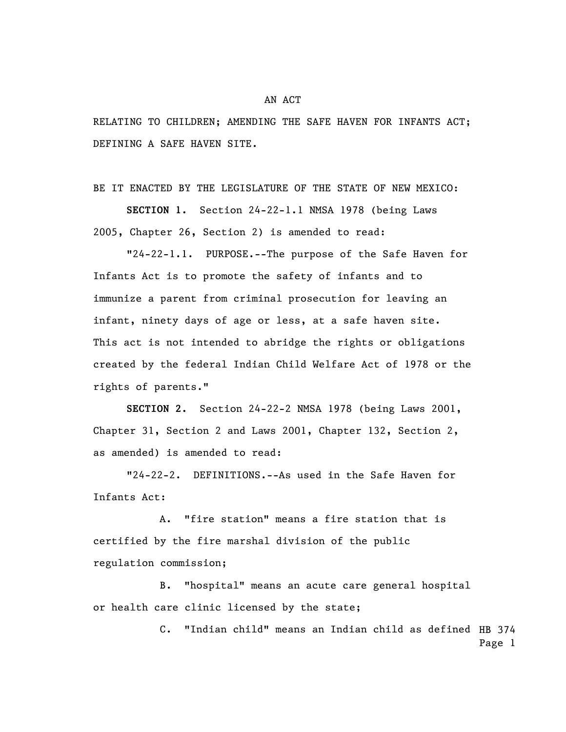RELATING TO CHILDREN; AMENDING THE SAFE HAVEN FOR INFANTS ACT; DEFINING A SAFE HAVEN SITE.

BE IT ENACTED BY THE LEGISLATURE OF THE STATE OF NEW MEXICO:

**SECTION 1.** Section 24-22-1.1 NMSA 1978 (being Laws 2005, Chapter 26, Section 2) is amended to read:

"24-22-1.1. PURPOSE.--The purpose of the Safe Haven for Infants Act is to promote the safety of infants and to immunize a parent from criminal prosecution for leaving an infant, ninety days of age or less, at a safe haven site. This act is not intended to abridge the rights or obligations created by the federal Indian Child Welfare Act of 1978 or the rights of parents."

**SECTION 2.** Section 24-22-2 NMSA 1978 (being Laws 2001, Chapter 31, Section 2 and Laws 2001, Chapter 132, Section 2, as amended) is amended to read:

"24-22-2. DEFINITIONS.--As used in the Safe Haven for Infants Act:

A. "fire station" means a fire station that is certified by the fire marshal division of the public regulation commission;

B. "hospital" means an acute care general hospital or health care clinic licensed by the state;

> C. "Indian child" means an Indian child as defined HB 374 Page 1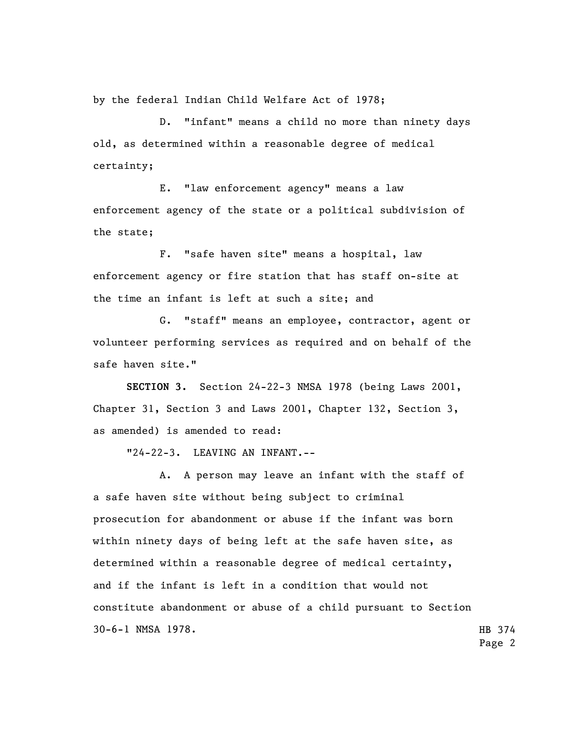by the federal Indian Child Welfare Act of 1978;

D. "infant" means a child no more than ninety days old, as determined within a reasonable degree of medical certainty;

E. "law enforcement agency" means a law enforcement agency of the state or a political subdivision of the state;

F. "safe haven site" means a hospital, law enforcement agency or fire station that has staff on-site at the time an infant is left at such a site; and

G. "staff" means an employee, contractor, agent or volunteer performing services as required and on behalf of the safe haven site."

**SECTION 3.** Section 24-22-3 NMSA 1978 (being Laws 2001, Chapter 31, Section 3 and Laws 2001, Chapter 132, Section 3, as amended) is amended to read:

"24-22-3. LEAVING AN INFANT.--

HB 374 A. A person may leave an infant with the staff of a safe haven site without being subject to criminal prosecution for abandonment or abuse if the infant was born within ninety days of being left at the safe haven site, as determined within a reasonable degree of medical certainty, and if the infant is left in a condition that would not constitute abandonment or abuse of a child pursuant to Section 30-6-1 NMSA 1978.

Page 2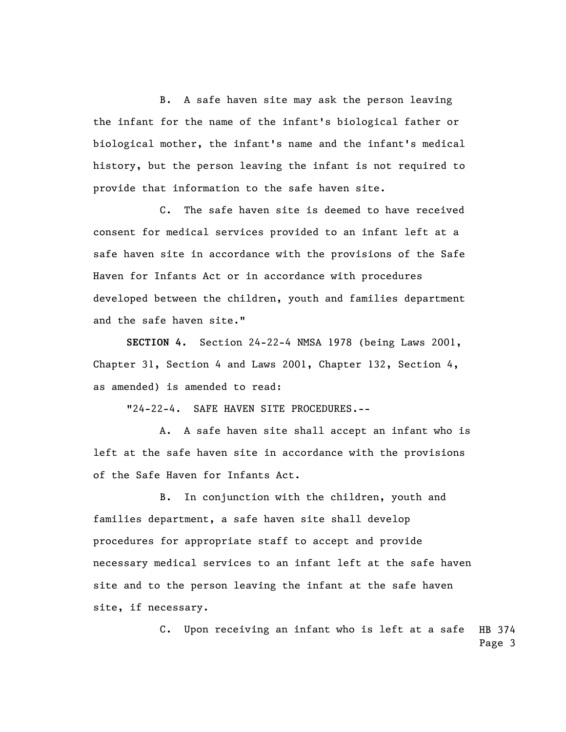B. A safe haven site may ask the person leaving the infant for the name of the infant's biological father or biological mother, the infant's name and the infant's medical history, but the person leaving the infant is not required to provide that information to the safe haven site.

C. The safe haven site is deemed to have received consent for medical services provided to an infant left at a safe haven site in accordance with the provisions of the Safe Haven for Infants Act or in accordance with procedures developed between the children, youth and families department and the safe haven site."

**SECTION 4.** Section 24-22-4 NMSA 1978 (being Laws 2001, Chapter 31, Section 4 and Laws 2001, Chapter 132, Section 4, as amended) is amended to read:

"24-22-4. SAFE HAVEN SITE PROCEDURES.--

A. A safe haven site shall accept an infant who is left at the safe haven site in accordance with the provisions of the Safe Haven for Infants Act.

B. In conjunction with the children, youth and families department, a safe haven site shall develop procedures for appropriate staff to accept and provide necessary medical services to an infant left at the safe haven site and to the person leaving the infant at the safe haven site, if necessary.

> HB 374 Page 3 C. Upon receiving an infant who is left at a safe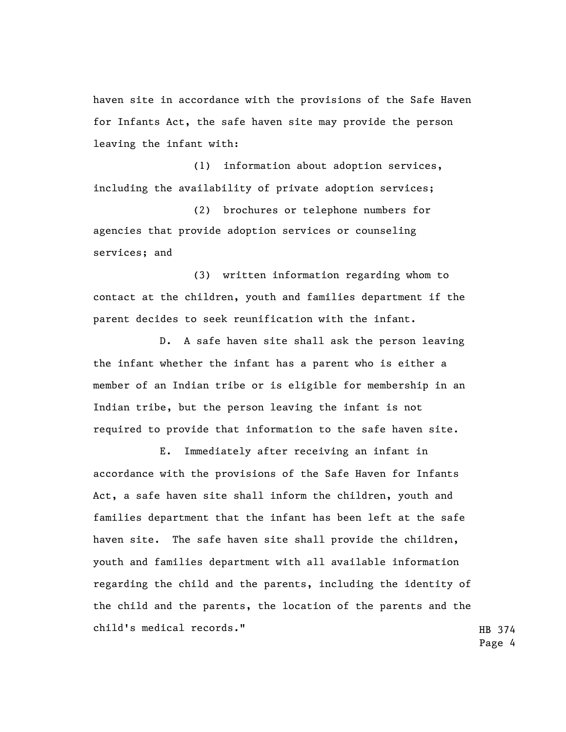haven site in accordance with the provisions of the Safe Haven for Infants Act, the safe haven site may provide the person leaving the infant with:

(1) information about adoption services, including the availability of private adoption services;

(2) brochures or telephone numbers for agencies that provide adoption services or counseling services; and

(3) written information regarding whom to contact at the children, youth and families department if the parent decides to seek reunification with the infant.

D. A safe haven site shall ask the person leaving the infant whether the infant has a parent who is either a member of an Indian tribe or is eligible for membership in an Indian tribe, but the person leaving the infant is not required to provide that information to the safe haven site.

E. Immediately after receiving an infant in accordance with the provisions of the Safe Haven for Infants Act, a safe haven site shall inform the children, youth and families department that the infant has been left at the safe haven site. The safe haven site shall provide the children, youth and families department with all available information regarding the child and the parents, including the identity of the child and the parents, the location of the parents and the child's medical records."

HB 374 Page 4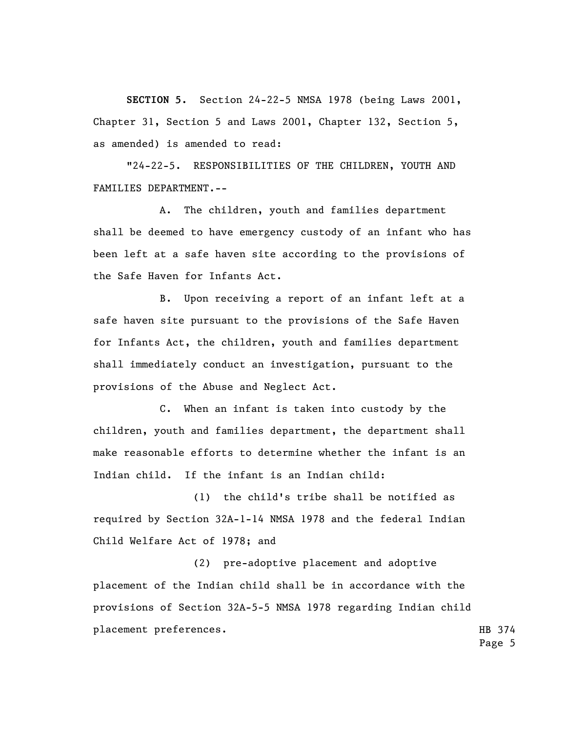**SECTION 5.** Section 24-22-5 NMSA 1978 (being Laws 2001, Chapter 31, Section 5 and Laws 2001, Chapter 132, Section 5, as amended) is amended to read:

"24-22-5. RESPONSIBILITIES OF THE CHILDREN, YOUTH AND FAMILIES DEPARTMENT.--

A. The children, youth and families department shall be deemed to have emergency custody of an infant who has been left at a safe haven site according to the provisions of the Safe Haven for Infants Act.

B. Upon receiving a report of an infant left at a safe haven site pursuant to the provisions of the Safe Haven for Infants Act, the children, youth and families department shall immediately conduct an investigation, pursuant to the provisions of the Abuse and Neglect Act.

C. When an infant is taken into custody by the children, youth and families department, the department shall make reasonable efforts to determine whether the infant is an Indian child. If the infant is an Indian child:

(1) the child's tribe shall be notified as required by Section 32A-1-14 NMSA 1978 and the federal Indian Child Welfare Act of 1978; and

(2) pre-adoptive placement and adoptive placement of the Indian child shall be in accordance with the provisions of Section 32A-5-5 NMSA 1978 regarding Indian child placement preferences.

HB 374 Page 5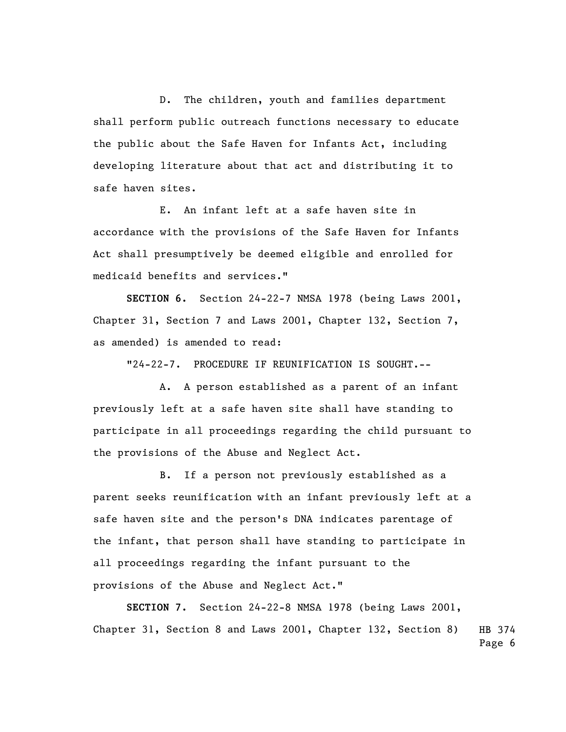D. The children, youth and families department shall perform public outreach functions necessary to educate the public about the Safe Haven for Infants Act, including developing literature about that act and distributing it to safe haven sites.

E. An infant left at a safe haven site in accordance with the provisions of the Safe Haven for Infants Act shall presumptively be deemed eligible and enrolled for medicaid benefits and services."

**SECTION 6.** Section 24-22-7 NMSA 1978 (being Laws 2001, Chapter 31, Section 7 and Laws 2001, Chapter 132, Section 7, as amended) is amended to read:

"24-22-7. PROCEDURE IF REUNIFICATION IS SOUGHT.--

A. A person established as a parent of an infant previously left at a safe haven site shall have standing to participate in all proceedings regarding the child pursuant to the provisions of the Abuse and Neglect Act.

B. If a person not previously established as a parent seeks reunification with an infant previously left at a safe haven site and the person's DNA indicates parentage of the infant, that person shall have standing to participate in all proceedings regarding the infant pursuant to the provisions of the Abuse and Neglect Act."

HB 374 Page 6 **SECTION 7.** Section 24-22-8 NMSA 1978 (being Laws 2001, Chapter 31, Section 8 and Laws 2001, Chapter 132, Section 8)